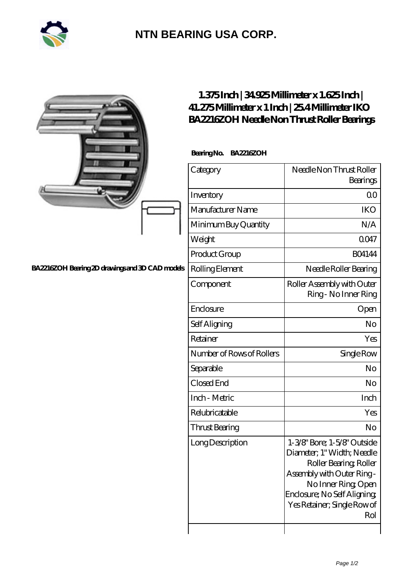

## **[NTN BEARING USA CORP.](https://m.2rw-antriebselemente.de)**

|                                                 | 1.375Inch   34.925Millimeter x 1.625Inch  <br>41.275Millimeter x 1 Inch   254Millimeter IKO<br>BA2216ZOH Needle Non Thrust Roller Bearings |                                                                                                                                                                                                               |
|-------------------------------------------------|--------------------------------------------------------------------------------------------------------------------------------------------|---------------------------------------------------------------------------------------------------------------------------------------------------------------------------------------------------------------|
|                                                 | BearingNo.<br><b>BA2216ZOH</b>                                                                                                             |                                                                                                                                                                                                               |
|                                                 | Category                                                                                                                                   | Needle Non Thrust Roller<br>Bearings                                                                                                                                                                          |
|                                                 | Inventory                                                                                                                                  | QO                                                                                                                                                                                                            |
|                                                 | Manufacturer Name                                                                                                                          | <b>IKO</b>                                                                                                                                                                                                    |
|                                                 | Minimum Buy Quantity                                                                                                                       | N/A                                                                                                                                                                                                           |
|                                                 | Weight                                                                                                                                     | 0047                                                                                                                                                                                                          |
|                                                 | Product Group                                                                                                                              | <b>BO4144</b>                                                                                                                                                                                                 |
| BA2216ZOH Bearing 2D drawings and 3D CAD models | Rolling Element                                                                                                                            | Needle Roller Bearing                                                                                                                                                                                         |
|                                                 | Component                                                                                                                                  | Roller Assembly with Outer<br>Ring - No Inner Ring                                                                                                                                                            |
|                                                 | Enclosure                                                                                                                                  | Open                                                                                                                                                                                                          |
|                                                 | Self Aligning                                                                                                                              | N <sub>o</sub>                                                                                                                                                                                                |
|                                                 | Retainer                                                                                                                                   | Yes                                                                                                                                                                                                           |
|                                                 | Number of Rows of Rollers                                                                                                                  | Single Row                                                                                                                                                                                                    |
|                                                 | Separable                                                                                                                                  | No                                                                                                                                                                                                            |
|                                                 | Closed End                                                                                                                                 | N <sub>o</sub>                                                                                                                                                                                                |
|                                                 | Inch - Metric                                                                                                                              | Inch                                                                                                                                                                                                          |
|                                                 | Relubricatable                                                                                                                             | Yes                                                                                                                                                                                                           |
|                                                 | Thrust Bearing                                                                                                                             | No                                                                                                                                                                                                            |
|                                                 | Long Description                                                                                                                           | 1-3/8" Bore; 1-5/8" Outside<br>Diameter; 1" Width; Needle<br>Roller Bearing, Roller<br>Assembly with Outer Ring-<br>No Inner Ring, Open<br>Enclosure; No Self Aligning;<br>Yes Retainer; Single Row of<br>Rol |
|                                                 |                                                                                                                                            |                                                                                                                                                                                                               |